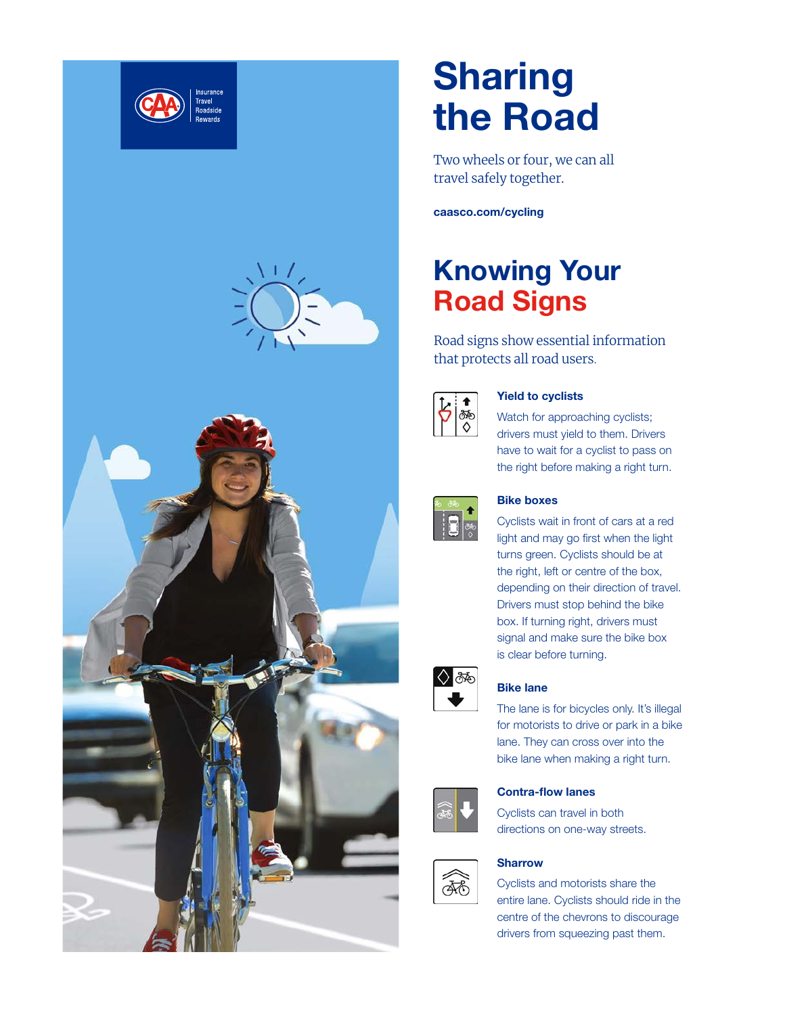

# **Sharing** the Road

Two wheels or four, we can all travel safely together.

caasco.com/cycling

# Knowing Your Road Signs

Road signs show essential information that protects all road users.



## Yield to cyclists

Watch for approaching cyclists; drivers must yield to them. Drivers have to wait for a cyclist to pass on the right before making a right turn.



### Bike boxes

Cyclists wait in front of cars at a red light and may go first when the light turns green. Cyclists should be at the right, left or centre of the box, depending on their direction of travel. Drivers must stop behind the bike box. If turning right, drivers must signal and make sure the bike box is clear before turning.



## Bike lane

The lane is for bicycles only. It's illegal for motorists to drive or park in a bike lane. They can cross over into the bike lane when making a right turn.



**AS** 

### Contra-flow lanes

Cyclists can travel in both directions on one-way streets.

## **Sharrow**

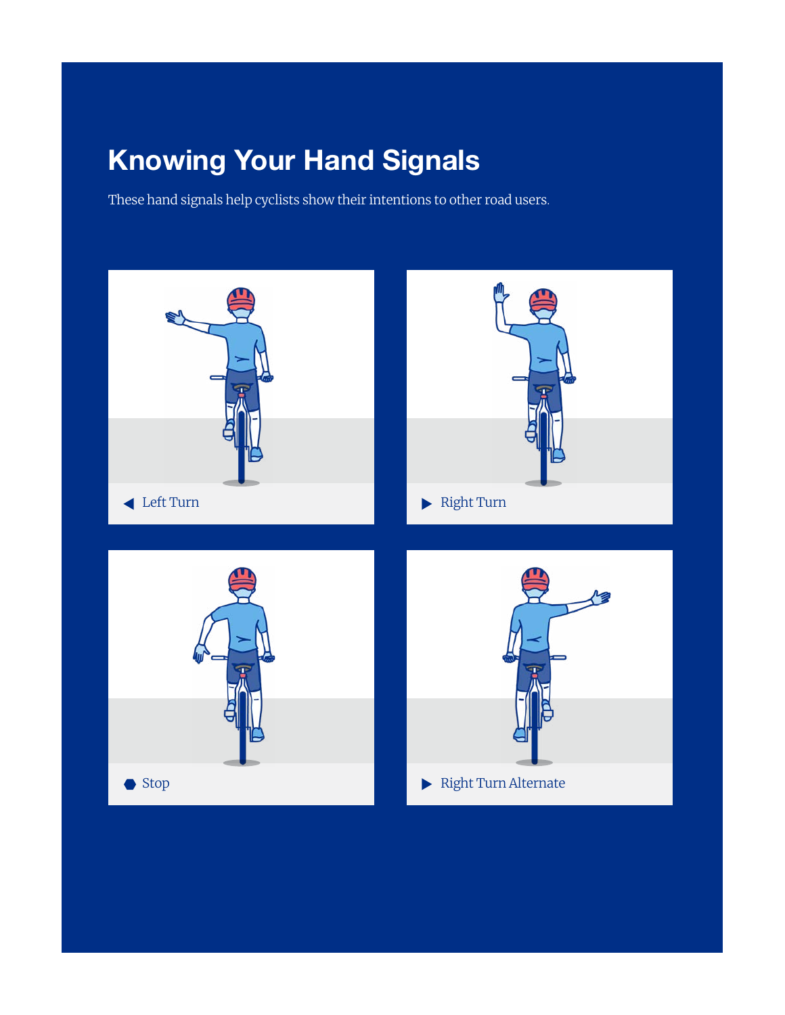# Knowing Your Hand Signals

These hand signals help cyclists show their intentions to other road users.

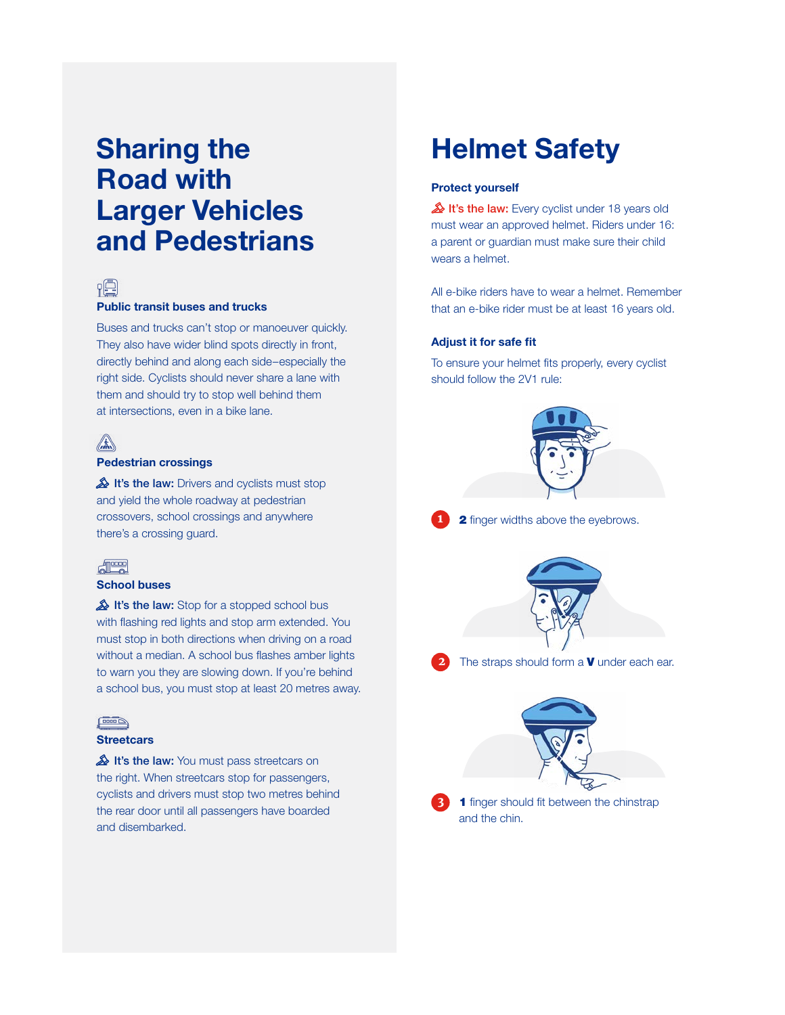# Sharing the Road with Larger Vehicles and Pedestrians



#### Public transit buses and trucks

Buses and trucks can't stop or manoeuver quickly. They also have wider blind spots directly in front, directly behind and along each side–especially the right side. Cyclists should never share a lane with them and should try to stop well behind them at intersections, even in a bike lane.

#### Pedestrian crossings

It's the law: Drivers and cyclists must stop and yield the whole roadway at pedestrian crossovers, school crossings and anywhere there's a crossing guard.



### School buses

It's the law: Stop for a stopped school bus with flashing red lights and stop arm extended. You must stop in both directions when driving on a road without a median. A school bus flashes amber lights to warn you they are slowing down. If you're behind a school bus, you must stop at least 20 metres away.

#### $\sqrt{2000}$

#### **Streetcars**

It's the law: You must pass streetcars on the right. When streetcars stop for passengers, cyclists and drivers must stop two metres behind the rear door until all passengers have boarded and disembarked.

## Helmet Safety

#### Protect yourself

It's the law: Every cyclist under 18 years old must wear an approved helmet. Riders under 16: a parent or guardian must make sure their child wears a helmet.

All e-bike riders have to wear a helmet. Remember that an e-bike rider must be at least 16 years old.

#### Adjust it for safe fit

To ensure your helmet fits properly, every cyclist should follow the 2V1 rule:







The straps should form a  $\boldsymbol{V}$  under each ear.



and the chin.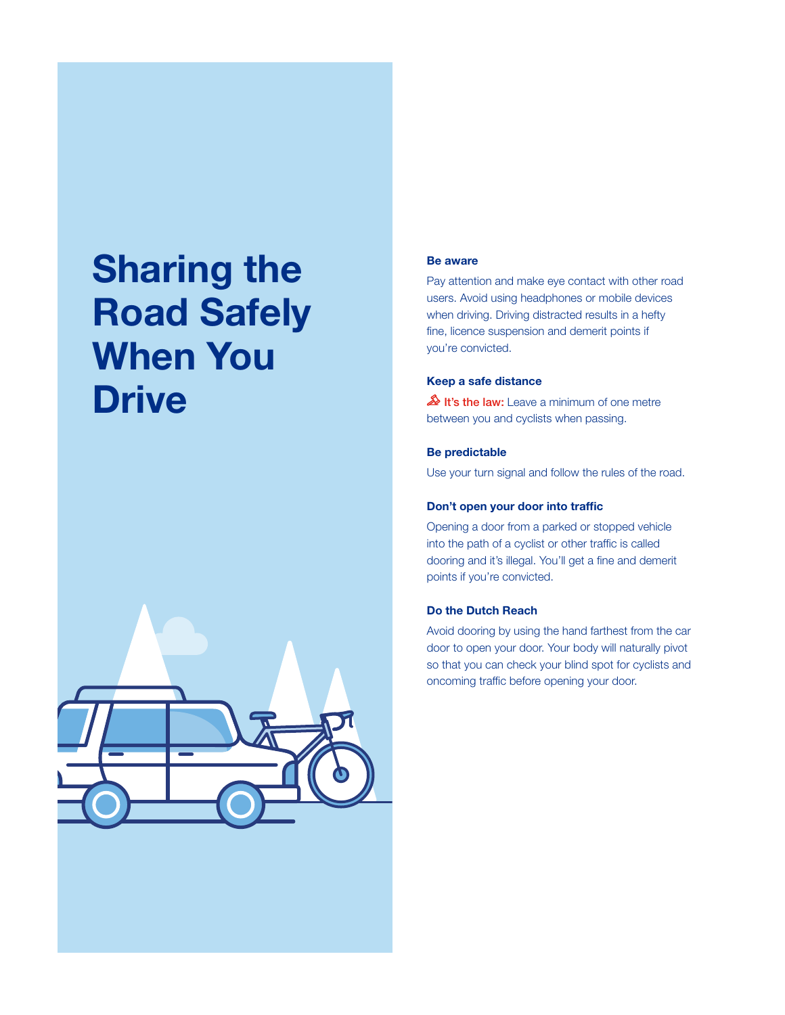# Sharing the Road Safely When You **Drive**



#### Be aware

Pay attention and make eye contact with other road users. Avoid using headphones or mobile devices when driving. Driving distracted results in a hefty fine, licence suspension and demerit points if you're convicted.

#### Keep a safe distance

It's the law: Leave a minimum of one metre between you and cyclists when passing.

### Be predictable

Use your turn signal and follow the rules of the road.

#### Don't open your door into traffic

Opening a door from a parked or stopped vehicle into the path of a cyclist or other traffic is called dooring and it's illegal. You'll get a fine and demerit points if you're convicted.

#### Do the Dutch Reach

Avoid dooring by using the hand farthest from the car door to open your door. Your body will naturally pivot so that you can check your blind spot for cyclists and oncoming traffic before opening your door.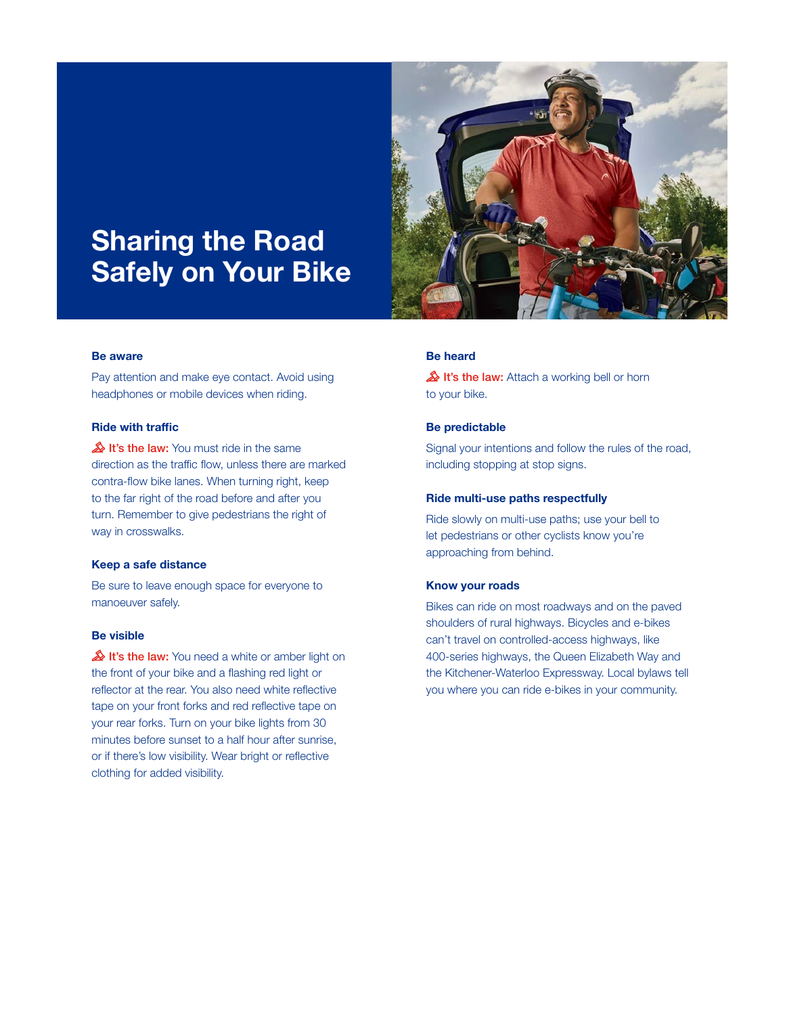# Sharing the Road Safely on Your Bike

#### Be aware

Pay attention and make eye contact. Avoid using headphones or mobile devices when riding.

#### Ride with traffic

It's the law: You must ride in the same direction as the traffic flow, unless there are marked contra-flow bike lanes. When turning right, keep to the far right of the road before and after you turn. Remember to give pedestrians the right of way in crosswalks.

#### Keep a safe distance

Be sure to leave enough space for everyone to manoeuver safely.

#### Be visible

It's the law: You need a white or amber light on the front of your bike and a flashing red light or reflector at the rear. You also need white reflective tape on your front forks and red reflective tape on your rear forks. Turn on your bike lights from 30 minutes before sunset to a half hour after sunrise, or if there's low visibility. Wear bright or reflective clothing for added visibility.



### Be heard

It's the law: Attach a working bell or horn to your bike.

#### Be predictable

Signal your intentions and follow the rules of the road, including stopping at stop signs.

#### Ride multi-use paths respectfully

Ride slowly on multi-use paths; use your bell to let pedestrians or other cyclists know you're approaching from behind.

#### Know your roads

Bikes can ride on most roadways and on the paved shoulders of rural highways. Bicycles and e-bikes can't travel on controlled-access highways, like 400-series highways, the Queen Elizabeth Way and the Kitchener-Waterloo Expressway. Local bylaws tell you where you can ride e-bikes in your community.